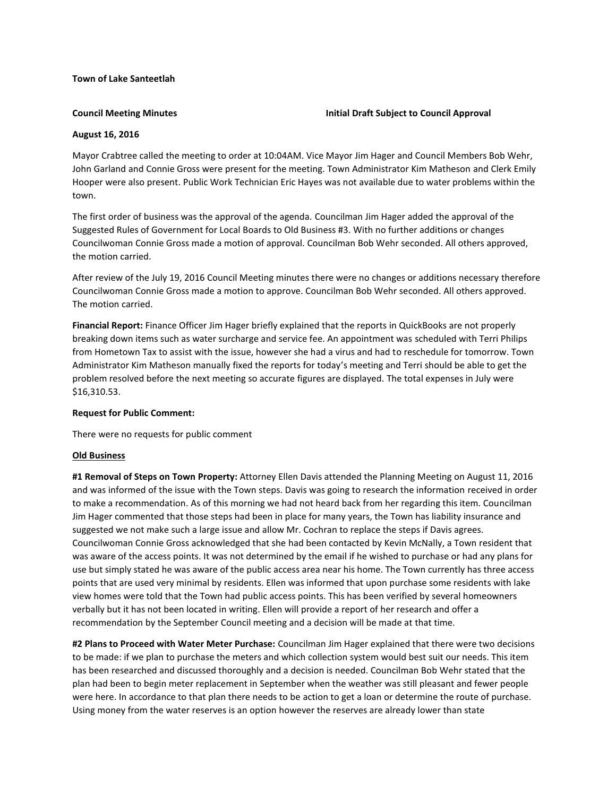## **Town of Lake Santeetlah**

## **Council Meeting Minutes Initial Draft Subject to Council Approval**

# **August 16, 2016**

Mayor Crabtree called the meeting to order at 10:04AM. Vice Mayor Jim Hager and Council Members Bob Wehr, John Garland and Connie Gross were present for the meeting. Town Administrator Kim Matheson and Clerk Emily Hooper were also present. Public Work Technician Eric Hayes was not available due to water problems within the town.

The first order of business was the approval of the agenda. Councilman Jim Hager added the approval of the Suggested Rules of Government for Local Boards to Old Business #3. With no further additions or changes Councilwoman Connie Gross made a motion of approval. Councilman Bob Wehr seconded. All others approved, the motion carried.

After review of the July 19, 2016 Council Meeting minutes there were no changes or additions necessary therefore Councilwoman Connie Gross made a motion to approve. Councilman Bob Wehr seconded. All others approved. The motion carried.

**Financial Report:** Finance Officer Jim Hager briefly explained that the reports in QuickBooks are not properly breaking down items such as water surcharge and service fee. An appointment was scheduled with Terri Philips from Hometown Tax to assist with the issue, however she had a virus and had to reschedule for tomorrow. Town Administrator Kim Matheson manually fixed the reports for today's meeting and Terri should be able to get the problem resolved before the next meeting so accurate figures are displayed. The total expenses in July were \$16,310.53.

# **Request for Public Comment:**

There were no requests for public comment

# **Old Business**

**#1 Removal of Steps on Town Property:** Attorney Ellen Davis attended the Planning Meeting on August 11, 2016 and was informed of the issue with the Town steps. Davis was going to research the information received in order to make a recommendation. As of this morning we had not heard back from her regarding this item. Councilman Jim Hager commented that those steps had been in place for many years, the Town has liability insurance and suggested we not make such a large issue and allow Mr. Cochran to replace the steps if Davis agrees. Councilwoman Connie Gross acknowledged that she had been contacted by Kevin McNally, a Town resident that was aware of the access points. It was not determined by the email if he wished to purchase or had any plans for use but simply stated he was aware of the public access area near his home. The Town currently has three access points that are used very minimal by residents. Ellen was informed that upon purchase some residents with lake view homes were told that the Town had public access points. This has been verified by several homeowners verbally but it has not been located in writing. Ellen will provide a report of her research and offer a recommendation by the September Council meeting and a decision will be made at that time.

**#2 Plans to Proceed with Water Meter Purchase:** Councilman Jim Hager explained that there were two decisions to be made: if we plan to purchase the meters and which collection system would best suit our needs. This item has been researched and discussed thoroughly and a decision is needed. Councilman Bob Wehr stated that the plan had been to begin meter replacement in September when the weather was still pleasant and fewer people were here. In accordance to that plan there needs to be action to get a loan or determine the route of purchase. Using money from the water reserves is an option however the reserves are already lower than state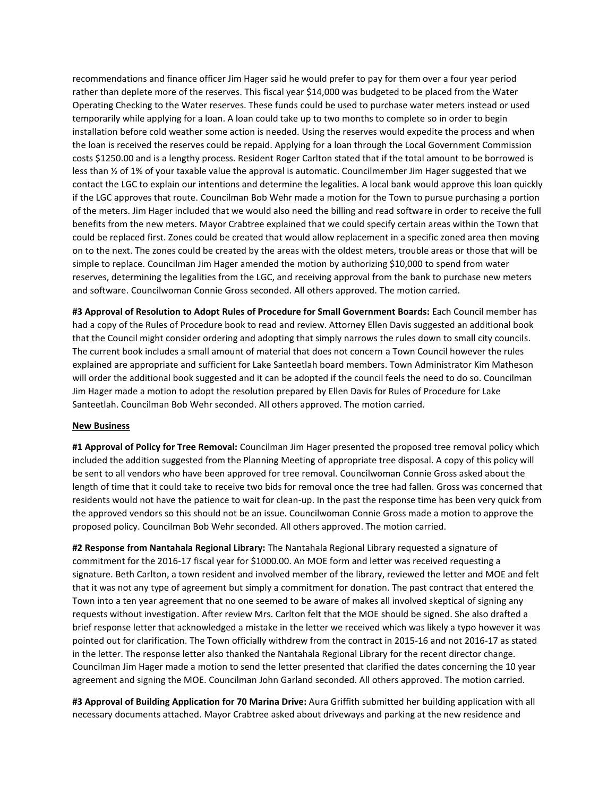recommendations and finance officer Jim Hager said he would prefer to pay for them over a four year period rather than deplete more of the reserves. This fiscal year \$14,000 was budgeted to be placed from the Water Operating Checking to the Water reserves. These funds could be used to purchase water meters instead or used temporarily while applying for a loan. A loan could take up to two months to complete so in order to begin installation before cold weather some action is needed. Using the reserves would expedite the process and when the loan is received the reserves could be repaid. Applying for a loan through the Local Government Commission costs \$1250.00 and is a lengthy process. Resident Roger Carlton stated that if the total amount to be borrowed is less than ½ of 1% of your taxable value the approval is automatic. Councilmember Jim Hager suggested that we contact the LGC to explain our intentions and determine the legalities. A local bank would approve this loan quickly if the LGC approves that route. Councilman Bob Wehr made a motion for the Town to pursue purchasing a portion of the meters. Jim Hager included that we would also need the billing and read software in order to receive the full benefits from the new meters. Mayor Crabtree explained that we could specify certain areas within the Town that could be replaced first. Zones could be created that would allow replacement in a specific zoned area then moving on to the next. The zones could be created by the areas with the oldest meters, trouble areas or those that will be simple to replace. Councilman Jim Hager amended the motion by authorizing \$10,000 to spend from water reserves, determining the legalities from the LGC, and receiving approval from the bank to purchase new meters and software. Councilwoman Connie Gross seconded. All others approved. The motion carried.

**#3 Approval of Resolution to Adopt Rules of Procedure for Small Government Boards:** Each Council member has had a copy of the Rules of Procedure book to read and review. Attorney Ellen Davis suggested an additional book that the Council might consider ordering and adopting that simply narrows the rules down to small city councils. The current book includes a small amount of material that does not concern a Town Council however the rules explained are appropriate and sufficient for Lake Santeetlah board members. Town Administrator Kim Matheson will order the additional book suggested and it can be adopted if the council feels the need to do so. Councilman Jim Hager made a motion to adopt the resolution prepared by Ellen Davis for Rules of Procedure for Lake Santeetlah. Councilman Bob Wehr seconded. All others approved. The motion carried.

## **New Business**

**#1 Approval of Policy for Tree Removal:** Councilman Jim Hager presented the proposed tree removal policy which included the addition suggested from the Planning Meeting of appropriate tree disposal. A copy of this policy will be sent to all vendors who have been approved for tree removal. Councilwoman Connie Gross asked about the length of time that it could take to receive two bids for removal once the tree had fallen. Gross was concerned that residents would not have the patience to wait for clean-up. In the past the response time has been very quick from the approved vendors so this should not be an issue. Councilwoman Connie Gross made a motion to approve the proposed policy. Councilman Bob Wehr seconded. All others approved. The motion carried.

**#2 Response from Nantahala Regional Library:** The Nantahala Regional Library requested a signature of commitment for the 2016-17 fiscal year for \$1000.00. An MOE form and letter was received requesting a signature. Beth Carlton, a town resident and involved member of the library, reviewed the letter and MOE and felt that it was not any type of agreement but simply a commitment for donation. The past contract that entered the Town into a ten year agreement that no one seemed to be aware of makes all involved skeptical of signing any requests without investigation. After review Mrs. Carlton felt that the MOE should be signed. She also drafted a brief response letter that acknowledged a mistake in the letter we received which was likely a typo however it was pointed out for clarification. The Town officially withdrew from the contract in 2015-16 and not 2016-17 as stated in the letter. The response letter also thanked the Nantahala Regional Library for the recent director change. Councilman Jim Hager made a motion to send the letter presented that clarified the dates concerning the 10 year agreement and signing the MOE. Councilman John Garland seconded. All others approved. The motion carried.

**#3 Approval of Building Application for 70 Marina Drive:** Aura Griffith submitted her building application with all necessary documents attached. Mayor Crabtree asked about driveways and parking at the new residence and